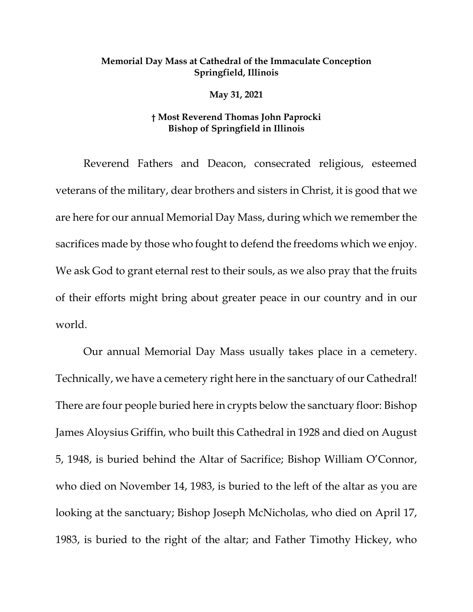## **Memorial Day Mass at Cathedral of the Immaculate Conception Springfield, Illinois**

**May 31, 2021** 

## **† Most Reverend Thomas John Paprocki Bishop of Springfield in Illinois**

Reverend Fathers and Deacon, consecrated religious, esteemed veterans of the military, dear brothers and sisters in Christ, it is good that we are here for our annual Memorial Day Mass, during which we remember the sacrifices made by those who fought to defend the freedoms which we enjoy. We ask God to grant eternal rest to their souls, as we also pray that the fruits of their efforts might bring about greater peace in our country and in our world.

Our annual Memorial Day Mass usually takes place in a cemetery. Technically, we have a cemetery right here in the sanctuary of our Cathedral! There are four people buried here in crypts below the sanctuary floor: Bishop James Aloysius Griffin, who built this Cathedral in 1928 and died on August 5, 1948, is buried behind the Altar of Sacrifice; Bishop William O'Connor, who died on November 14, 1983, is buried to the left of the altar as you are looking at the sanctuary; Bishop Joseph McNicholas, who died on April 17, 1983, is buried to the right of the altar; and Father Timothy Hickey, who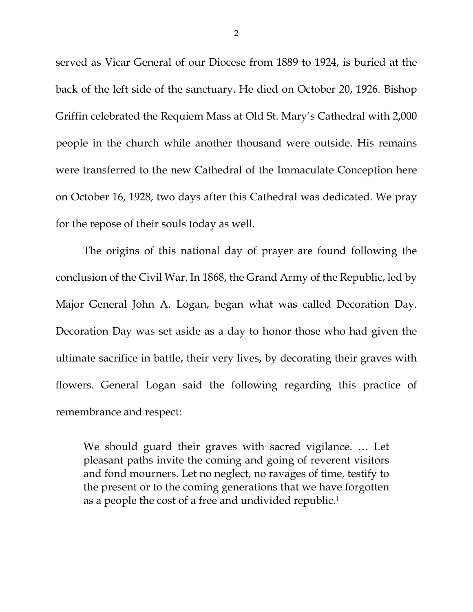served as Vicar General of our Diocese from 1889 to 1924, is buried at the back of the left side of the sanctuary. He died on October 20, 1926. Bishop Griffin celebrated the Requiem Mass at Old St. Mary's Cathedral with 2,000 people in the church while another thousand were outside. His remains were transferred to the new Cathedral of the Immaculate Conception here on October 16, 1928, two days after this Cathedral was dedicated. We pray for the repose of their souls today as well.

 The origins of this national day of prayer are found following the conclusion of the Civil War. In 1868, the Grand Army of the Republic, led by Major General John A. Logan, began what was called Decoration Day. Decoration Day was set aside as a day to honor those who had given the ultimate sacrifice in battle, their very lives, by decorating their graves with flowers. General Logan said the following regarding this practice of remembrance and respect:

We should guard their graves with sacred vigilance. … Let pleasant paths invite the coming and going of reverent visitors and fond mourners. Let no neglect, no ravages of time, testify to the present or to the coming generations that we have forgotten as a people the cost of a free and undivided republic.1

2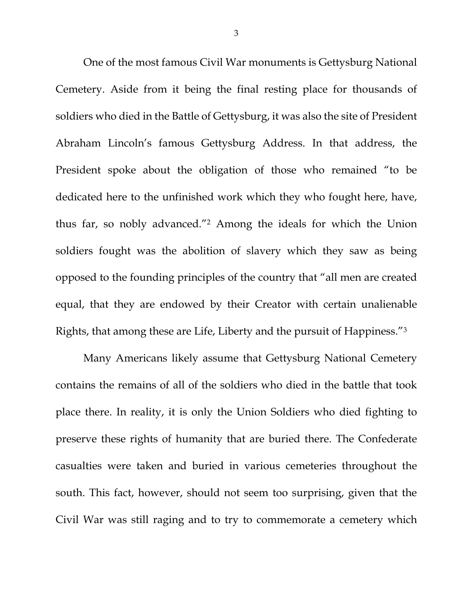One of the most famous Civil War monuments is Gettysburg National Cemetery. Aside from it being the final resting place for thousands of soldiers who died in the Battle of Gettysburg, it was also the site of President Abraham Lincoln's famous Gettysburg Address. In that address, the President spoke about the obligation of those who remained "to be dedicated here to the unfinished work which they who fought here, have, thus far, so nobly advanced."2 Among the ideals for which the Union soldiers fought was the abolition of slavery which they saw as being opposed to the founding principles of the country that "all men are created equal, that they are endowed by their Creator with certain unalienable Rights, that among these are Life, Liberty and the pursuit of Happiness."3

Many Americans likely assume that Gettysburg National Cemetery contains the remains of all of the soldiers who died in the battle that took place there. In reality, it is only the Union Soldiers who died fighting to preserve these rights of humanity that are buried there. The Confederate casualties were taken and buried in various cemeteries throughout the south. This fact, however, should not seem too surprising, given that the Civil War was still raging and to try to commemorate a cemetery which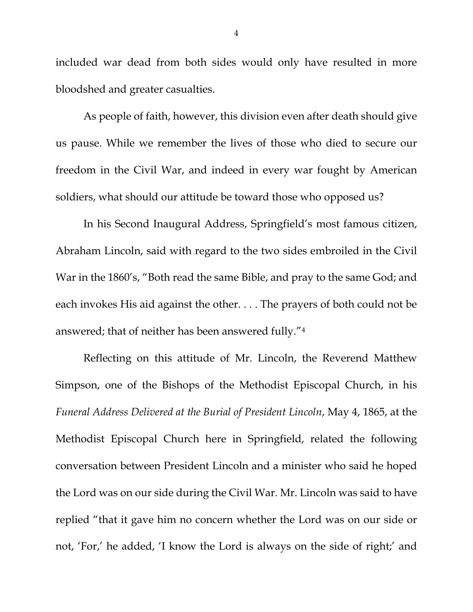included war dead from both sides would only have resulted in more bloodshed and greater casualties.

As people of faith, however, this division even after death should give us pause. While we remember the lives of those who died to secure our freedom in the Civil War, and indeed in every war fought by American soldiers, what should our attitude be toward those who opposed us?

In his Second Inaugural Address, Springfield's most famous citizen, Abraham Lincoln, said with regard to the two sides embroiled in the Civil War in the 1860's, "Both read the same Bible, and pray to the same God; and each invokes His aid against the other. . . . The prayers of both could not be answered; that of neither has been answered fully."4

Reflecting on this attitude of Mr. Lincoln, the Reverend Matthew Simpson, one of the Bishops of the Methodist Episcopal Church, in his *Funeral Address Delivered at the Burial of President Lincoln*, May 4, 1865, at the Methodist Episcopal Church here in Springfield, related the following conversation between President Lincoln and a minister who said he hoped the Lord was on our side during the Civil War. Mr. Lincoln was said to have replied "that it gave him no concern whether the Lord was on our side or not, 'For,' he added, 'I know the Lord is always on the side of right;' and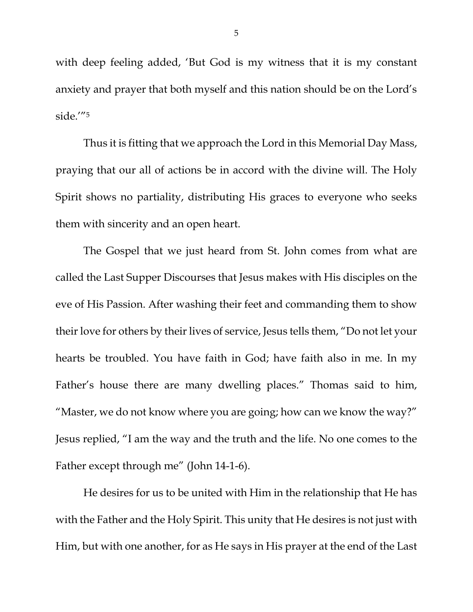with deep feeling added, 'But God is my witness that it is my constant anxiety and prayer that both myself and this nation should be on the Lord's side.'"5

Thus it is fitting that we approach the Lord in this Memorial Day Mass, praying that our all of actions be in accord with the divine will. The Holy Spirit shows no partiality, distributing His graces to everyone who seeks them with sincerity and an open heart.

The Gospel that we just heard from St. John comes from what are called the Last Supper Discourses that Jesus makes with His disciples on the eve of His Passion. After washing their feet and commanding them to show their love for others by their lives of service, Jesus tells them, "Do not let your hearts be troubled. You have faith in God; have faith also in me. In my Father's house there are many dwelling places." Thomas said to him, "Master, we do not know where you are going; how can we know the way?" Jesus replied, "I am the way and the truth and the life. No one comes to the Father except through me" (John 14-1-6).

He desires for us to be united with Him in the relationship that He has with the Father and the Holy Spirit. This unity that He desires is not just with Him, but with one another, for as He says in His prayer at the end of the Last

5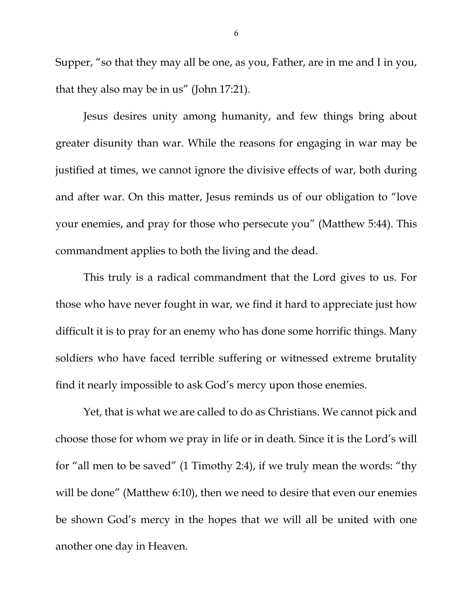Supper, "so that they may all be one, as you, Father, are in me and I in you, that they also may be in us" (John 17:21).

Jesus desires unity among humanity, and few things bring about greater disunity than war. While the reasons for engaging in war may be justified at times, we cannot ignore the divisive effects of war, both during and after war. On this matter, Jesus reminds us of our obligation to "love your enemies, and pray for those who persecute you" (Matthew 5:44). This commandment applies to both the living and the dead.

This truly is a radical commandment that the Lord gives to us. For those who have never fought in war, we find it hard to appreciate just how difficult it is to pray for an enemy who has done some horrific things. Many soldiers who have faced terrible suffering or witnessed extreme brutality find it nearly impossible to ask God's mercy upon those enemies.

Yet, that is what we are called to do as Christians. We cannot pick and choose those for whom we pray in life or in death. Since it is the Lord's will for "all men to be saved" (1 Timothy 2:4), if we truly mean the words: "thy will be done" (Matthew 6:10), then we need to desire that even our enemies be shown God's mercy in the hopes that we will all be united with one another one day in Heaven.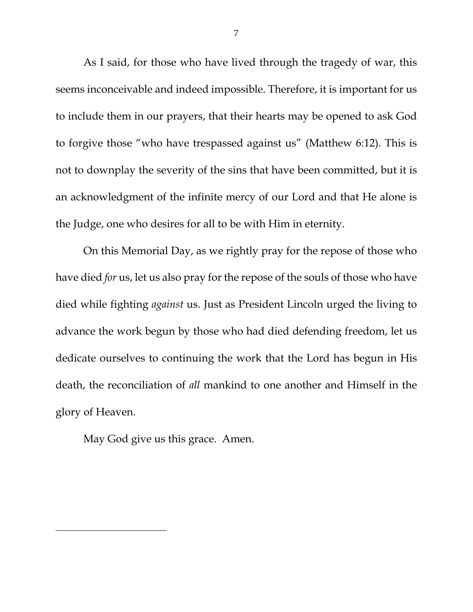As I said, for those who have lived through the tragedy of war, this seems inconceivable and indeed impossible. Therefore, it is important for us to include them in our prayers, that their hearts may be opened to ask God to forgive those "who have trespassed against us" (Matthew 6:12). This is not to downplay the severity of the sins that have been committed, but it is an acknowledgment of the infinite mercy of our Lord and that He alone is the Judge, one who desires for all to be with Him in eternity.

On this Memorial Day, as we rightly pray for the repose of those who have died *for* us, let us also pray for the repose of the souls of those who have died while fighting *against* us. Just as President Lincoln urged the living to advance the work begun by those who had died defending freedom, let us dedicate ourselves to continuing the work that the Lord has begun in His death, the reconciliation of *all* mankind to one another and Himself in the glory of Heaven.

May God give us this grace. Amen.